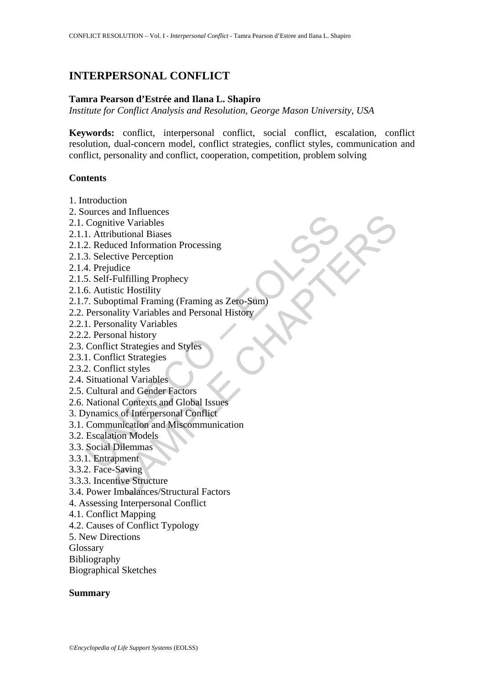# **INTERPERSONAL CONFLICT**

#### **Tamra Pearson d'Estrée and Ilana L. Shapiro**

*Institute for Conflict Analysis and Resolution, George Mason University, USA* 

**Keywords:** conflict, interpersonal conflict, social conflict, escalation, conflict resolution, dual-concern model, conflict strategies, conflict styles, communication and conflict, personality and conflict, cooperation, competition, problem solving

#### **Contents**

- 1. Introduction
- 2. Sources and Influences
- 2.1. Cognitive Variables
- 2.1.1. Attributional Biases
- 2.1.2. Reduced Information Processing
- 2.1.3. Selective Perception
- 2.1.4. Prejudice
- 2.1.5. Self-Fulfilling Prophecy
- 2.1.6. Autistic Hostility
- Success and Minical Discounties<br>
Cognitive Variables<br>
1. Attributional Biases<br>
2. Reduced Information Processing<br>
3. Selective Perception<br>
5. Self-Fulfilling Prophecy<br>
5. Autistic Hostility<br>
7. Suboptimal Framing (Framing and mindents<br>
ive Variables<br>
butional Biases<br>
butional Biases<br>
butional Biases<br>
cude Information Processing<br>
didice<br>
Fulfilling Prophecy<br>
stic Hostility<br>
and Framing (Framing as Zero-Süm)<br>
butional history<br>
butional Niston 2.1.7. Suboptimal Framing (Framing as Zero-Sum)
- 2.2. Personality Variables and Personal History
- 2.2.1. Personality Variables
- 2.2.2. Personal history
- 2.3. Conflict Strategies and Styles
- 2.3.1. Conflict Strategies
- 2.3.2. Conflict styles
- 2.4. Situational Variables
- 2.5. Cultural and Gender Factors
- 2.6. National Contexts and Global Issues
- 3. Dynamics of Interpersonal Conflict
- 3.1. Communication and Miscommunication
- 3.2. Escalation Models
- 3.3. Social Dilemmas
- 3.3.1. Entrapment
- 3.3.2. Face-Saving
- 3.3.3. Incentive Structure
- 3.4. Power Imbalances/Structural Factors
- 4. Assessing Interpersonal Conflict
- 4.1. Conflict Mapping
- 4.2. Causes of Conflict Typology
- 5. New Directions
- Glossary
- Bibliography
- Biographical Sketches

#### **Summary**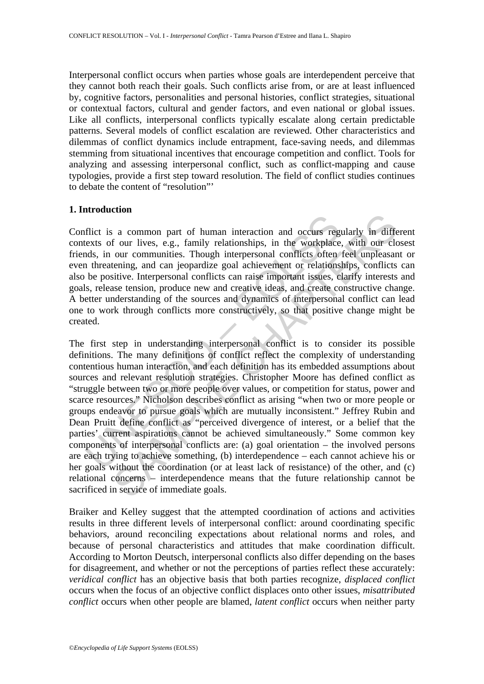Interpersonal conflict occurs when parties whose goals are interdependent perceive that they cannot both reach their goals. Such conflicts arise from, or are at least influenced by, cognitive factors, personalities and personal histories, conflict strategies, situational or contextual factors, cultural and gender factors, and even national or global issues. Like all conflicts, interpersonal conflicts typically escalate along certain predictable patterns. Several models of conflict escalation are reviewed. Other characteristics and dilemmas of conflict dynamics include entrapment, face-saving needs, and dilemmas stemming from situational incentives that encourage competition and conflict. Tools for analyzing and assessing interpersonal conflict, such as conflict-mapping and cause typologies, provide a first step toward resolution. The field of conflict studies continues to debate the content of "resolution"'

## **1. Introduction**

Conflict is a common part of human interaction and occurs regularly in different contexts of our lives, e.g., family relationships, in the workplace, with our closest friends, in our communities. Though interpersonal conflicts often feel unpleasant or even threatening, and can jeopardize goal achievement or relationships, conflicts can also be positive. Interpersonal conflicts can raise important issues, clarify interests and goals, release tension, produce new and creative ideas, and create constructive change. A better understanding of the sources and dynamics of interpersonal conflict can lead one to work through conflicts more constructively, so that positive change might be created.

flict is a common part of human interaction and occurs regentsts of our lives, e.g., family relationships, in the workplace exacts of our lives, e.g., family relationships, in the workplace exacts of our livent in the mean a common part of human interaction and occurs regularly in different and correlationships, in the workplace, with our clour communities. Though interpersonal conflicts often feel unpleasantening, and can jeopardize goal ac The first step in understanding interpersonal conflict is to consider its possible definitions. The many definitions of conflict reflect the complexity of understanding contentious human interaction, and each definition has its embedded assumptions about sources and relevant resolution strategies. Christopher Moore has defined conflict as "struggle between two or more people over values, or competition for status, power and scarce resources." Nicholson describes conflict as arising "when two or more people or groups endeavor to pursue goals which are mutually inconsistent." Jeffrey Rubin and Dean Pruitt define conflict as "perceived divergence of interest, or a belief that the parties' current aspirations cannot be achieved simultaneously." Some common key components of interpersonal conflicts are: (a) goal orientation – the involved persons are each trying to achieve something, (b) interdependence – each cannot achieve his or her goals without the coordination (or at least lack of resistance) of the other, and (c) relational concerns – interdependence means that the future relationship cannot be sacrificed in service of immediate goals.

Braiker and Kelley suggest that the attempted coordination of actions and activities results in three different levels of interpersonal conflict: around coordinating specific behaviors, around reconciling expectations about relational norms and roles, and because of personal characteristics and attitudes that make coordination difficult. According to Morton Deutsch, interpersonal conflicts also differ depending on the bases for disagreement, and whether or not the perceptions of parties reflect these accurately: *veridical conflict* has an objective basis that both parties recognize, *displaced conflict* occurs when the focus of an objective conflict displaces onto other issues, *misattributed conflict* occurs when other people are blamed, *latent conflict* occurs when neither party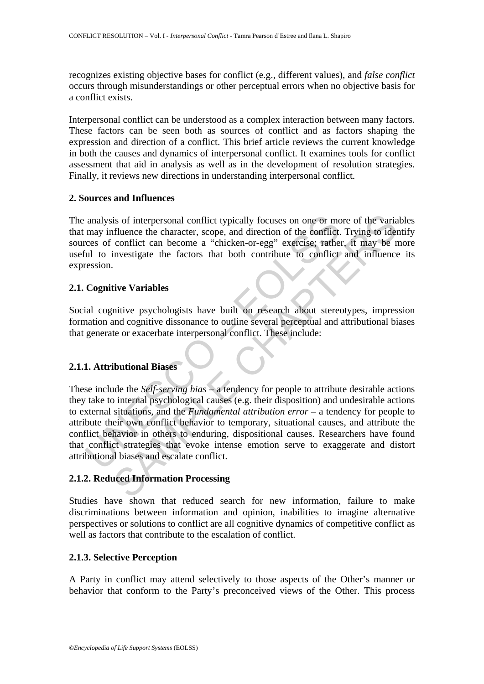recognizes existing objective bases for conflict (e.g., different values), and *false conflict* occurs through misunderstandings or other perceptual errors when no objective basis for a conflict exists.

Interpersonal conflict can be understood as a complex interaction between many factors. These factors can be seen both as sources of conflict and as factors shaping the expression and direction of a conflict. This brief article reviews the current knowledge in both the causes and dynamics of interpersonal conflict. It examines tools for conflict assessment that aid in analysis as well as in the development of resolution strategies. Finally, it reviews new directions in understanding interpersonal conflict.

## **2. Sources and Influences**

The analysis of interpersonal conflict typically focuses on one or more of the variables that may influence the character, scope, and direction of the conflict. Trying to identify sources of conflict can become a "chicken-or-egg" exercise; rather, it may be more useful to investigate the factors that both contribute to conflict and influence its expression.

## **2.1. Cognitive Variables**

Social cognitive psychologists have built on research about stereotypes, impression formation and cognitive dissonance to outline several perceptual and attributional biases that generate or exacerbate interpersonal conflict. These include:

## **2.1.1. Attributional Biases**

analysis of interpersonal conflict typically focuses on one or more may influence the character, scope, and direction of the conflict.<br>
cres of conflict can become a "chicken-or-egg" exercise; rathe<br>
ul to investigate the is of interpersonal conflict typically focuses on one or more of the variation-<br>influence the character, scope, and direction of the conflict. Trying to ider<br>conflict can become a "chicken-or-egg" exercise; rather, it may These include the *Self-serving bias* – a tendency for people to attribute desirable actions they take to internal psychological causes (e.g. their disposition) and undesirable actions to external situations, and the *Fundamental attribution error* – a tendency for people to attribute their own conflict behavior to temporary, situational causes, and attribute the conflict behavior in others to enduring, dispositional causes. Researchers have found that conflict strategies that evoke intense emotion serve to exaggerate and distort attributional biases and escalate conflict.

## **2.1.2. Reduced Information Processing**

Studies have shown that reduced search for new information, failure to make discriminations between information and opinion, inabilities to imagine alternative perspectives or solutions to conflict are all cognitive dynamics of competitive conflict as well as factors that contribute to the escalation of conflict.

## **2.1.3. Selective Perception**

A Party in conflict may attend selectively to those aspects of the Other's manner or behavior that conform to the Party's preconceived views of the Other. This process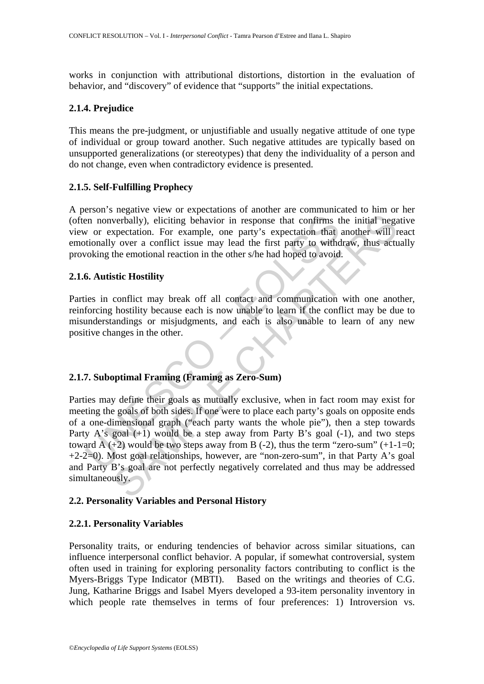works in conjunction with attributional distortions, distortion in the evaluation of behavior, and "discovery" of evidence that "supports" the initial expectations.

#### **2.1.4. Prejudice**

This means the pre-judgment, or unjustifiable and usually negative attitude of one type of individual or group toward another. Such negative attitudes are typically based on unsupported generalizations (or stereotypes) that deny the individuality of a person and do not change, even when contradictory evidence is presented.

### **2.1.5. Self-Fulfilling Prophecy**

A person's negative view or expectations of another are communicated to him or her (often nonverbally), eliciting behavior in response that confirms the initial negative view or expectation. For example, one party's expectation that another will react emotionally over a conflict issue may lead the first party to withdraw, thus actually provoking the emotional reaction in the other s/he had hoped to avoid.

### **2.1.6. Autistic Hostility**

Parties in conflict may break off all contact and communication with one another, reinforcing hostility because each is now unable to learn if the conflict may be due to misunderstandings or misjudgments, and each is also unable to learn of any new positive changes in the other.

## **2.1.7. Suboptimal Framing (Framing as Zero-Sum)**

Example, one pays are that confirms that confirms that confirms that confirms that converted all yover a conflict issue may lead the first party to withd<br>ooking the emotional reaction in the other s/he had hoped to avoid<br> verbally), eliciting behavior in response that confirms the initial negative that y, eliciting behavior in response that confirms the initial negative accordict issue may lead the first party to withdraw, thus act the emot Parties may define their goals as mutually exclusive, when in fact room may exist for meeting the goals of both sides. If one were to place each party's goals on opposite ends of a one-dimensional graph ("each party wants the whole pie"), then a step towards Party A's goal  $(+1)$  would be a step away from Party B's goal  $(-1)$ , and two steps toward A  $(+2)$  would be two steps away from B  $(-2)$ , thus the term "zero-sum"  $(+1-1=0;$ +2-2=0). Most goal relationships, however, are "non-zero-sum", in that Party A's goal and Party B's goal are not perfectly negatively correlated and thus may be addressed simultaneously.

## **2.2. Personality Variables and Personal History**

## **2.2.1. Personality Variables**

Personality traits, or enduring tendencies of behavior across similar situations, can influence interpersonal conflict behavior. A popular, if somewhat controversial, system often used in training for exploring personality factors contributing to conflict is the Myers-Briggs Type Indicator (MBTI). Based on the writings and theories of C.G. Jung, Katharine Briggs and Isabel Myers developed a 93-item personality inventory in which people rate themselves in terms of four preferences: 1) Introversion vs.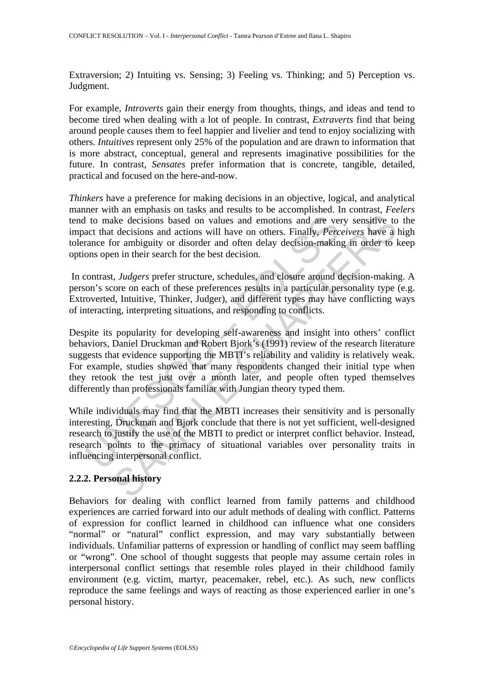Extraversion; 2) Intuiting vs. Sensing; 3) Feeling vs. Thinking; and 5) Perception vs. Judgment.

For example, *Introverts* gain their energy from thoughts, things, and ideas and tend to become tired when dealing with a lot of people. In contrast, *Extraverts* find that being around people causes them to feel happier and livelier and tend to enjoy socializing with others. *Intuitives* represent only 25% of the population and are drawn to information that is more abstract, conceptual, general and represents imaginative possibilities for the future. In contrast, *Sensates* prefer information that is concrete, tangible, detailed, practical and focused on the here-and-now.

*Thinkers* have a preference for making decisions in an objective, logical, and analytical manner with an emphasis on tasks and results to be accomplished. In contrast, *Feelers* tend to make decisions based on values and emotions and are very sensitive to the impact that decisions and actions will have on others. Finally, *Perceivers* have a high tolerance for ambiguity or disorder and often delay decision-making in order to keep options open in their search for the best decision.

 In contrast, *Judgers* prefer structure, schedules, and closure around decision-making. A person's score on each of these preferences results in a particular personality type (e.g. Extroverted, Intuitive, Thinker, Judger), and different types may have conflicting ways of interacting, interpreting situations, and responding to conflicts.

I to make decisions based on values and emotions and are ve<br>act that decisions and actions will have on others. Finally, *Perc*<br>rance for ambiguity or disorder and often delay decision-makin<br>ons open in their search for th the decisions based on values and emotions and are very sensitive to<br>the decisions based on values and emotions and are very sensitive to<br>decisions and actions will have on others. Finally, *Perceivers* have a lot<br>or ambig Despite its popularity for developing self-awareness and insight into others' conflict behaviors, Daniel Druckman and Robert Bjork's (1991) review of the research literature suggests that evidence supporting the MBTI's reliability and validity is relatively weak. For example, studies showed that many respondents changed their initial type when they retook the test just over a month later, and people often typed themselves differently than professionals familiar with Jungian theory typed them.

While individuals may find that the MBTI increases their sensitivity and is personally interesting, Druckman and Bjork conclude that there is not yet sufficient, well-designed research to justify the use of the MBTI to predict or interpret conflict behavior. Instead, research points to the primacy of situational variables over personality traits in influencing interpersonal conflict.

## **2.2.2. Personal history**

Behaviors for dealing with conflict learned from family patterns and childhood experiences are carried forward into our adult methods of dealing with conflict. Patterns of expression for conflict learned in childhood can influence what one considers "normal" or "natural" conflict expression, and may vary substantially between individuals. Unfamiliar patterns of expression or handling of conflict may seem baffling or "wrong". One school of thought suggests that people may assume certain roles in interpersonal conflict settings that resemble roles played in their childhood family environment (e.g. victim, martyr, peacemaker, rebel, etc.). As such, new conflicts reproduce the same feelings and ways of reacting as those experienced earlier in one's personal history.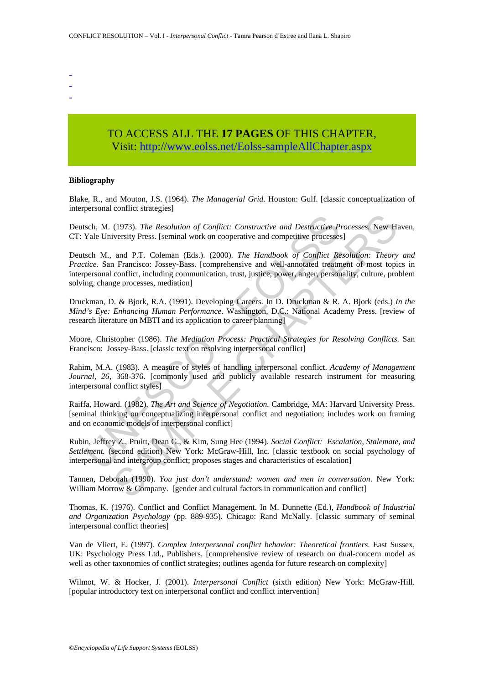- -
- -
- -

# TO ACCESS ALL THE **17 PAGES** OF THIS CHAPTER, Visit[: http://www.eolss.net/Eolss-sampleAllChapter.aspx](https://www.eolss.net/ebooklib/sc_cart.aspx?File=E1-40-01-02)

#### **Bibliography**

Blake, R., and Mouton, J.S. (1964). *The Managerial Grid*. Houston: Gulf. [classic conceptualization of interpersonal conflict strategies]

Deutsch, M. (1973). *The Resolution of Conflict: Constructive and Destructive Processes.* New Haven, CT: Yale University Press. [seminal work on cooperative and competitive processes]

sch, M. (1973). *The Resolution of Conflict: Constructive and Destructive P*Yale University Press. [seminal work on cooperative and competitive processes sch M., and P.T. Coleman (Eds.). (2000). *The Handbook of Conflict R* (1973). *The Resolution of Conflict:* Constructive and Destructive Processes, New Hiversity Press. [seminal work on cooperative and competitive processes]<br>and P.T. Coleman (Eds.). (2000). *The Handbook of Conflict Resolut* Deutsch M., and P.T. Coleman (Eds.). (2000). *The Handbook of Conflict Resolution: Theory and Practice*. San Francisco: Jossey-Bass. [comprehensive and well-annotated treatment of most topics in interpersonal conflict, including communication, trust, justice, power, anger, personality, culture, problem solving, change processes, mediation]

Druckman, D. & Bjork, R.A. (1991). Developing Careers. In D. Druckman & R. A. Bjork (eds.) *In the Mind's Eye: Enhancing Human Performance*. Washington, D.C.: National Academy Press. [review of research literature on MBTI and its application to career planning]

Moore, Christopher (1986). *The Mediation Process: Practical Strategies for Resolving Conflicts*. San Francisco: Jossey-Bass. [classic text on resolving interpersonal conflict]

Rahim, M.A. (1983). A measure of styles of handling interpersonal conflict. *Academy of Management Journal, 26,* 368-376. [commonly used and publicly available research instrument for measuring interpersonal conflict styles]

Raiffa, Howard. (1982). *The Art and Science of Negotiation.* Cambridge, MA: Harvard University Press. [seminal thinking on conceptualizing interpersonal conflict and negotiation; includes work on framing and on economic models of interpersonal conflict]

Rubin, Jeffrey Z., Pruitt, Dean G., & Kim, Sung Hee (1994). *Social Conflict: Escalation, Stalemate, and Settlement.* (second edition) New York: McGraw-Hill, Inc. [classic textbook on social psychology of interpersonal and intergroup conflict; proposes stages and characteristics of escalation]

Tannen, Deborah (1990). *You just don't understand: women and men in conversation*. New York: William Morrow & Company. [gender and cultural factors in communication and conflict]

Thomas, K. (1976). Conflict and Conflict Management. In M. Dunnette (Ed.), *Handbook of Industrial and Organization Psychology* (pp. 889-935). Chicago: Rand McNally. [classic summary of seminal interpersonal conflict theories]

Van de Vliert, E. (1997). *Complex interpersonal conflict behavior: Theoretical frontiers*. East Sussex, UK: Psychology Press Ltd., Publishers. [comprehensive review of research on dual-concern model as well as other taxonomies of conflict strategies; outlines agenda for future research on complexity]

Wilmot, W. & Hocker, J. (2001). *Interpersonal Conflict* (sixth edition) New York: McGraw-Hill. [popular introductory text on interpersonal conflict and conflict intervention]